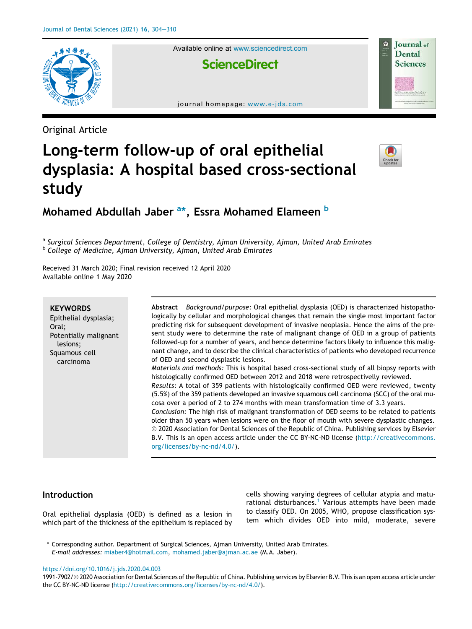

Available online at www.sciencedirect.com

**ScienceDirect** 

journal homepage: www.e-jds.com



# **Journal** of Dental **Sciences**

## Long-term follow-up of oral epithelial dysplasia: A hospital based cross-sectional study



### Mohamed Abdullah Jaber <sup>a</sup>\*, Essra Mohamed Elameen <sup>b</sup>

<sup>a</sup> Surgical Sciences Department, College of Dentistry, Ajman University, Ajman, United Arab Emirates <sup>b</sup> College of Medicine, Ajman University, Ajman, United Arab Emirates

Received 31 March 2020; Final revision received 12 April 2020 Available online 1 May 2020

#### **KEYWORDS**

Epithelial dysplasia; Oral; Potentially malignant lesions; Squamous cell carcinoma

Abstract Background/purpose: Oral epithelial dysplasia (OED) is characterized histopathologically by cellular and morphological changes that remain the single most important factor predicting risk for subsequent development of invasive neoplasia. Hence the aims of the present study were to determine the rate of malignant change of OED in a group of patients followed-up for a number of years, and hence determine factors likely to influence this malignant change, and to describe the clinical characteristics of patients who developed recurrence of OED and second dysplastic lesions.

Materials and methods: This is hospital based cross-sectional study of all biopsy reports with histologically confirmed OED between 2012 and 2018 were retrospectivelly reviewed. Results: A total of 359 patients with histologically confirmed OED were reviewed, twenty

(5.5%) of the 359 patients developed an invasive squamous cell carcinoma (SCC) of the oral mucosa over a period of 2 to 274 months with mean transformation time of 3.3 years.

Conclusion: The high risk of malignant transformation of OED seems to be related to patients older than 50 years when lesions were on the floor of mouth with severe dysplastic changes. ª 2020 Association for Dental Sciences of the Republic of China. Publishing services by Elsevier B.V. This is an open access article under the CC BY-NC-ND license (http://creativecommons. org/licenses/by-nc-nd/4.0/).

#### Introduction

Oral epithelial dysplasia (OED) is defined as a lesion in which part of the thickness of the epithelium is replaced by cells showing varying degrees of cellular atypia and maturational disturbances.<sup>1</sup> Various attempts have been made to classify OED. On 2005, WHO, propose classification system which divides OED into mild, moderate, severe

\* Corresponding author. Department of Surgical Sciences, Ajman University, United Arab Emirates. E-mail addresses: miaber4@hotmail.com, mohamed.jaber@ajman.ac.ae (M.A. Jaber).

https://doi.org/10.1016/j.jds.2020.04.003

1991-7902/ª 2020 Association for Dental Sciences of the Republic of China. Publishing services by Elsevier B.V. This is an open access article under the CC BY-NC-ND license (http://creativecommons.org/licenses/by-nc-nd/4.0/).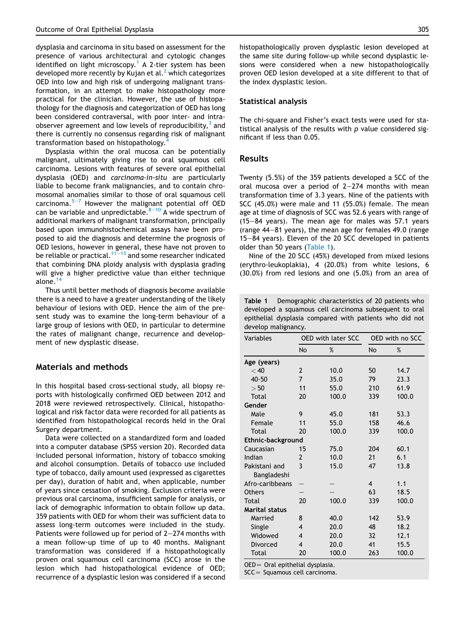dysplasia and carcinoma in situ based on assessment for the presence of various architectural and cytologic changes identified on light microscopy.<sup>1</sup> A 2-tier system has been developed more recently by Kujan et al.<sup>2</sup> which categorizes OED into low and high risk of undergoing malignant transformation, in an attempt to make histopathology more practical for the clinician. However, the use of histopathology for the diagnosis and categorization of OED has long been considered contraversal, with poor inter- and intraobserver agreement and low levels of reproducibility, $^3$  and there is currently no consensus regarding risk of malignant transformation based on histopathology.<sup>4</sup>

Dysplasia within the oral mucosa can be potentially malignant, ultimately giving rise to oral squamous cell carcinoma. Lesions with features of severe oral epithelial dysplasia (OED) and carcinoma-in-situ are particularly liable to become frank malignancies, and to contain chromosomal anomalies similar to those of oral squamous cell carcinoma. $5-7$  However the malignant potential off OED can be variable and unpredictable. $8-10$  A wide spectrum of additional markers of malignant transformation, principally based upon immunohistochemical assays have been proposed to aid the diagnosis and determine the prognosis of OED lesions, however in general, these have not proven to be reliable or practical.<sup>11–13</sup> and some researcher indicated that combining DNA ploidy analysis with dysplasia grading will give a higher predictive value than either technique alone.<sup>1</sup>

Thus until better methods of diagnosis become available there is a need to have a greater understanding of the likely behaviour of lesions with OED. Hence the aim of the present study was to examine the long-term behaviour of a large group of lesions with OED, in particular to determine the rates of malignant change, recurrence and development of new dysplastic disease.

#### Materials and methods

In this hospital based cross-sectional study, all biopsy reports with histologically confirmed OED between 2012 and 2018 were reviewed retrospectively. Clinical, histopathological and risk factor data were recorded for all patients as identified from histopathological records held in the Oral Surgery department.

Data were collected on a standardized form and loaded into a computer database (SPSS version 20). Recorded data included personal information, history of tobacco smoking and alcohol consumption. Details of tobacco use included type of tobacco, daily amount used (expressed as cigarettes per day), duration of habit and, when applicable, number of years since cessation of smoking. Exclusion criteria were previous oral carcinoma, insufficient sample for analysis, or lack of demographic information to obtain follow up data. 359 patients with OED for whom their was sufficient data to assess long-term outcomes were included in the study. Patients were followed up for period of  $2-274$  months with a mean follow-up time of up to 40 months. Malignant transformation was considered if a histopathologically proven oral squamous cell carcinoma (SCC) arose in the lesion which had histopathological evidence of OED; recurrence of a dysplastic lesion was considered if a second

histopathologically proven dysplastic lesion developed at the same site during follow-up while second dysplastic lesions were considered when a new histopathologically proven OED lesion developed at a site different to that of the index dysplastic lesion.

#### Statistical analysis

The chi-square and Fisher's exact tests were used for statistical analysis of the results with  $p$  value considered significant if less than 0.05.

#### Results

Twenty (5.5%) of the 359 patients developed a SCC of the oral mucosa over a period of  $2-274$  months with mean transformation time of 3.3 years. Nine of the patients with SCC (45.0%) were male and 11 (55.0%) female. The mean age at time of diagnosis of SCC was 52.6 years with range of  $(15-84 \text{ years})$ . The mean age for males was 57.1 years (range  $44-81$  years), the mean age for females  $49.0$  (range 15–84 years). Eleven of the 20 SCC developed in patients older than 50 years (Table 1).

Nine of the 20 SCC (45%) developed from mixed lesions (erythro-leukoplakia), 4 (20.0%) from white lesions, 6 (30.0%) from red lesions and one (5.0%) from an area of

Table 1 Demographic characteristics of 20 patients who developed a squamous cell carcinoma subsequent to oral epithelial dysplasia compared with patients who did not develop malignancy.

| Variables                    | <b>OED with later SCC</b> |       |                | OED with no SCC |
|------------------------------|---------------------------|-------|----------------|-----------------|
|                              | <b>No</b>                 | $\%$  | <b>No</b>      | %               |
| Age (years)                  |                           |       |                |                 |
| < 40                         | $\overline{2}$            | 10.0  | 50             | 14.7            |
| 40-50                        | $\overline{7}$            | 35.0  | 79             | 23.3            |
| > 50                         | 11                        | 55.0  | 210            | 61.9            |
| Total                        | 20                        | 100.0 | 339            | 100.0           |
| Gender                       |                           |       |                |                 |
| Male                         | 9                         | 45.0  | 181            | 53.3            |
| Female                       | 11                        | 55.0  | 158            | 46.6            |
| Total                        | 20                        | 100.0 | 339            | 100.0           |
| Ethnic-background            |                           |       |                |                 |
| Caucasian                    | 15                        | 75.0  | 204            | 60.1            |
| Indian                       | 2                         | 10.0  | 21             | 6.1             |
| Pakistani and<br>Bangladeshi | 3                         | 15.0  | 47             | 13.8            |
| Afro-caribbeans              |                           |       | $\overline{4}$ | 1.1             |
| <b>Others</b>                |                           |       | 63             | 18.5            |
| Total                        | 20                        | 100.0 | 339            | 100.0           |
| <b>Marital status</b>        |                           |       |                |                 |
| Married                      | 8                         | 40.0  | 142            | 53.9            |
| Single                       | 4                         | 20.0  | 48             | 18.2            |
| Widowed                      | 4                         | 20.0  | 32             | 12.1            |
| Divorced                     | 4                         | 20.0  | 41             | 15.5            |
| Total                        | 20                        | 100.0 | 263            | 100.0           |

 $OED =$  Oral epithelial dysplasia.

 $SCC =$  Squamous cell carcinoma.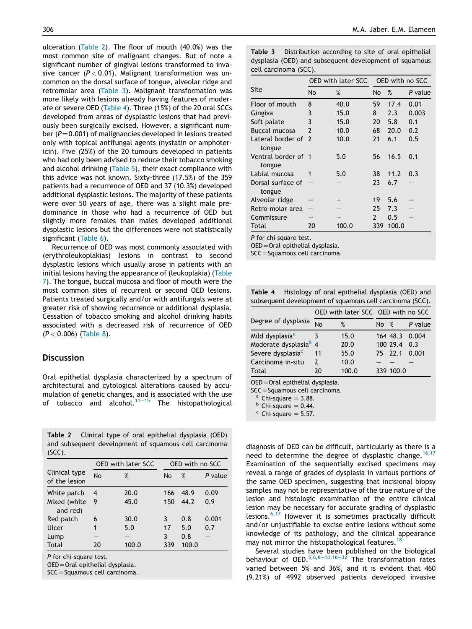ulceration (Table 2). The floor of mouth (40.0%) was the most common site of malignant changes. But of note a significant number of gingival lesions transformed to invasive cancer ( $P < 0.01$ ). Malignant transformation was uncommon on the dorsal surface of tongue, alveolar ridge and retromolar area (Table 3). Malignant transformation was more likely with lesions already having features of moderate or severe OED (Table 4). Three (15%) of the 20 oral SCCs developed from areas of dysplastic lesions that had previously been surgically excised. However, a significant number ( $P=0.001$ ) of malignancies developed in lesions treated only with topical antifungal agents (nystatin or amphotericin). Five (25%) of the 20 tumours developed in patients who had only been advised to reduce their tobacco smoking and alcohol drinking (Table 5), their exact compliance with this advice was not known. Sixty-three (17.5%) of the 359 patients had a recurrence of OED and 37 (10.3%) developed additional dysplastic lesions. The majority of these patients were over 50 years of age, there was a slight male predominance in those who had a recurrence of OED but slightly more females than males developed additional dysplastic lesions but the differences were not statistically significant (Table 6).

Recurrence of OED was most commonly associated with (erythroleukoplakias) lesions in contrast to second dysplastic lesions which usually arose in patients with an initial lesions having the appearance of (leukoplakia) (Table 7). The tongue, buccal mucosa and floor of mouth were the most common sites of recurrent or second OED lesions. Patients treated surgically and/or with antifungals were at greater risk of showing recurrence or additional dysplasia. Cessation of tobacco smoking and alcohol drinking habits associated with a decreased risk of recurrence of OED  $(P < 0.006)$  (Table 8).

#### **Discussion**

Oral epithelial dysplasia characterized by a spectrum of architectural and cytological alterations caused by accumulation of genetic changes, and is associated with the use of tobacco and alcohol. $11-15$  The histopathological

Table 2 Clinical type of oral epithelial dysplasia (OED) and subsequent development of squamous cell carcinoma (SCC).

|                                |    | <b>OED with later SCC</b> | OED with no SCC |       |         |  |
|--------------------------------|----|---------------------------|-----------------|-------|---------|--|
| Clinical type<br>of the lesion | No | %                         | No              | %     | P value |  |
| White patch                    | 4  | 20.0                      | 166             | 48.9  | 0.09    |  |
| Mixed (white<br>and red)       | 9  | 45.0                      | 150             | 44.2  | 0.9     |  |
| Red patch                      | 6  | 30.0                      | 3               | 0.8   | 0.001   |  |
| Ulcer                          | 1  | 5.0                       | 17              | 5.0   | 0.7     |  |
| Lump                           |    |                           | 3               | 0.8   |         |  |
| Total                          | 20 | 100.0                     | 339             | 100.0 |         |  |
|                                |    |                           |                 |       |         |  |

P for chi-square test.

OED=Oral epithelial dysplasia.

SCC=Squamous cell carcinoma.

Table 3 Distribution according to site of oral epithelial dysplasia (OED) and subsequent development of squamous cell carcinoma (SCC).

|                               | OED with later SCC OED with no SCC |       |               |       |         |
|-------------------------------|------------------------------------|-------|---------------|-------|---------|
| Site                          | No                                 | %     | No            | %     | P value |
| Floor of mouth                | 8                                  | 40.0  | 59            | 17.4  | 0.01    |
| Gingiva                       | 3                                  | 15.0  | 8             | 2.3   | 0.003   |
| Soft palate                   | 3                                  | 15.0  | 20            | 5.8   | 0.1     |
| Buccal mucosa                 | $\mathcal{P}$                      | 10.0  | 68            | 20.0  | 0.2     |
| Lateral border of 2<br>tongue |                                    | 10.0  | 21            | 6.1   | 0.5     |
| Ventral border of 1<br>tongue |                                    | 5.0   | 56            | 16.5  | 0.1     |
| Labial mucosa                 | 1                                  | 5.0   | 38            | 11.2  | 0.3     |
| Dorsal surface of<br>tongue   |                                    |       | 23            | 6.7   |         |
| Alveolar ridge                |                                    |       | 19            | 5.6   |         |
| Retro-molar area              |                                    |       | 25            | 7.3   |         |
| Commissure                    |                                    |       | $\mathcal{P}$ | 0.5   |         |
| Total                         | 20                                 | 100.0 | 339           | 100.0 |         |

P for chi-square test.

 $OED = Ord$  epithelial dysplasia.

 $SCC = Squamous$  cell carcinoma.

Table 4 Histology of oral epithelial dysplasia (OED) and subsequent development of squamous cell carcinoma (SCC).

|                                                |               | OED with later SCC OED with no SCC |        |                |         |  |
|------------------------------------------------|---------------|------------------------------------|--------|----------------|---------|--|
| Degree of dysplasia                            | <b>No</b>     | %                                  | No $%$ |                | P value |  |
| Mild dysplasia <sup>a</sup>                    |               | 15.0                               |        | 164 48.3 0.004 |         |  |
| Moderate dysplasia <sup>b</sup> 4              |               | 20.0                               |        | 100 29.4       | 0.3     |  |
| Severe dysplasia <sup>c</sup>                  | 11            | 55.0                               |        | 75 22.1        | 0.001   |  |
| Carcinoma in-situ                              | $\mathcal{P}$ | 10.0                               |        |                |         |  |
| Total                                          | 20            | 100.0                              |        | 339 100.0      |         |  |
| $\Omega$ ED $-\Omega$ ral opitholial ducolacia |               |                                    |        |                |         |  |

Oral epithelial dysplasia.

 $SCC = Squamous$  cell carcinoma.

 $a$  Chi-square = 3.88.

 $b$  Chi-square = 0.44.

 $c$  Chi-square = 5.57.

diagnosis of OED can be difficult, particularly as there is a need to determine the degree of dysplastic change.<sup>16,17</sup> Examination of the sequentially excised specimens may reveal a range of grades of dysplasia in various portions of the same OED specimen, suggesting that incisional biopsy samples may not be representative of the true nature of the lesion and histologic examination of the entire clinical lesion may be necessary for accurate grading of dysplastic lesions.6,17 However it is sometimes practically difficult and/or unjustifiable to excise entire lesions without some knowledge of its pathology, and the clinical appearance may not mirror the histopathological features.<sup>18</sup>

Several studies have been published on the biological behaviour of OED.<sup>5,6,8-10,18-32</sup> The transformation rates varied between 5% and 36%, and it is evident that 460 (9.21%) of 4992 observed patients developed invasive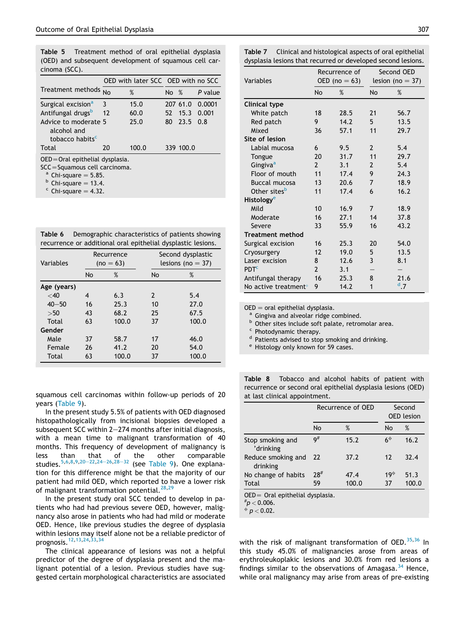Table 5 Treatment method of oral epithelial dysplasia (OED) and subsequent development of squamous cell carcinoma (SCC).

|                                                                                                                                 |    | OED with later SCC OED with no SCC |        |             |         |  |  |
|---------------------------------------------------------------------------------------------------------------------------------|----|------------------------------------|--------|-------------|---------|--|--|
| Treatment methods                                                                                                               |    | %                                  | No $%$ |             | P value |  |  |
| Surgical excision <sup>a</sup>                                                                                                  | 3  | 15.0                               |        | 207 61.0    | 0.0001  |  |  |
| Antifungal drugs <sup>b</sup>                                                                                                   | 12 | 60.0                               |        | 52 15.3     | 0.001   |  |  |
| Advice to moderate 5<br>alcohol and<br>tobacco habits <sup>c</sup>                                                              |    | 25.0                               |        | 80 23.5 0.8 |         |  |  |
| Total                                                                                                                           | 20 | 100.0                              |        | 339 100.0   |         |  |  |
| $OED = Ord$ epithelial dysplasia.<br>$SCC = Squamous$ cell carcinoma.<br>$^{\circ}$ Chi-square = 5.85.<br>$b$ Chi-causre – 13 A |    |                                    |        |             |         |  |  |

Chi-square  $=$  13.4.

 $\textdegree$  Chi-square = 4.32.

| Table 6 |  | Demographic characteristics of patients showing              |
|---------|--|--------------------------------------------------------------|
|         |  | recurrence or additional oral epithelial dysplastic lesions. |

| Variables   | Recurrence<br>$(no = 63)$ |       | Second dysplastic<br>lesions (no $=$ 37) |       |
|-------------|---------------------------|-------|------------------------------------------|-------|
|             | <b>No</b>                 | %     | <b>No</b>                                | %     |
| Age (years) |                           |       |                                          |       |
| $<$ 40      | 4                         | 6.3   | $\mathcal{P}$                            | 5.4   |
| $40 - 50$   | 16                        | 25.3  | 10                                       | 77.0  |
| >50         | 43                        | 68.2  | 25                                       | 67.5  |
| Total       | 63                        | 100.0 | 37                                       | 100.0 |
| Gender      |                           |       |                                          |       |
| Male        | 37                        | 58.7  | 17                                       | 46.0  |
| Female      | 26                        | 41.2  | 20                                       | 54.0  |
| Total       | 63                        | 100.0 | 37                                       | 100.0 |

squamous cell carcinomas within follow-up periods of 20 years (Table 9).

In the present study 5.5% of patients with OED diagnosed histopathologically from incisional biopsies developed a subsequent SCC within  $2-274$  months after initial diagnosis, with a mean time to malignant transformation of 40 months. This frequency of development of malignancy is less than that of the other comparable<br>studies.<sup>5,6,8,9,20–22,24–26,28–32</sup> (see Table 9).One explanation for this difference might be that the majority of our patient had mild OED, which reported to have a lower risk of malignant transformation potential.<sup>28,29</sup>

In the present study oral SCC tended to develop in patients who had had previous severe OED, however, malignancy also arose in patients who had had mild or moderate OED. Hence, like previous studies the degree of dysplasia within lesions may itself alone not be a reliable predictor of prognosis.12,13,24,33,34

The clinical appearance of lesions was not a helpful predictor of the degree of dysplasia present and the malignant potential of a lesion. Previous studies have suggested certain morphological characteristics are associated

| Variables                |                | Recurrence of<br>OED (no = 63) |           | Second OED<br>lesion (no $=$ 37) |  |
|--------------------------|----------------|--------------------------------|-----------|----------------------------------|--|
|                          | <b>No</b>      | %                              | <b>No</b> | %                                |  |
| <b>Clinical type</b>     |                |                                |           |                                  |  |
| White patch              | 18             | 28.5                           | 21        | 56.7                             |  |
| Red patch                | 9              | 14.2                           | 5         | 13.5                             |  |
| Mixed                    | 36             | 57.1                           | 11        | 29.7                             |  |
| Site of lesion           |                |                                |           |                                  |  |
| Labial mucosa            | 6              | 9.5                            | 2         | 5.4                              |  |
| Tongue                   | 20             | 31.7                           | 11        | 29.7                             |  |
| Gingiva <sup>a</sup>     | $\overline{2}$ | 3.1                            | 2         | 5.4                              |  |
| Floor of mouth           | 11             | 17.4                           | 9         | 24.3                             |  |
| <b>Buccal mucosa</b>     | 13             | 20.6                           | 7         | 18.9                             |  |
| Other sites <sup>b</sup> | 11             | 17.4                           | 6         | 16.2                             |  |
| Histology <sup>e</sup>   |                |                                |           |                                  |  |

Mild 10 16.9 7 18.9 Moderate 16 27.1 14 37.8 Severe 33 55.9 16 43.2

Surgical excision 16 25.3 20 54.0 Cryosurgery 12 19.0 5 13.5 Laser excision 8 12.6 3 8.1

Antifungal therapy 16 25.3 8 21.6

 $2 \t3.1 - -$ 

 $d$ .7

 $OED =$  oral epithelial dysplasia.

Treatment method

PDT<sup>c</sup>

<sup>a</sup> Gingiva and alveolar ridge combined.

No active treatment $\degree$  9 14.2 1

**b** Other sites include soft palate, retromolar area.

c Photodynamic therapy.

<sup>d</sup> Patients advised to stop smoking and drinking.

<sup>e</sup> Histology only known for 59 cases.

Table 8 Tobacco and alcohol habits of patient with recurrence or second oral epithelial dysplasia lesions (OED) at last clinical appointment.

|                                    | Recurrence of OED |       | Second<br><b>OED</b> lesion |       |  |  |
|------------------------------------|-------------------|-------|-----------------------------|-------|--|--|
|                                    | No                | %     | No                          | %     |  |  |
| Stop smoking and<br>'drinking      | $9^{\#}$          | 15.2  | $6^{\varphi}$               | 16.2  |  |  |
| Reduce smoking and<br>drinking     | 22                | 37.2  | $12 \,$                     | 32.4  |  |  |
| No change of habits                | 28#               | 47.4  | $19^{\circ}$                | 51.3  |  |  |
| Total                              | 59                | 100.0 | 37                          | 100.0 |  |  |
| $OED =$ Oral epithelial dysplasia. |                   |       |                             |       |  |  |

 $~$ # $p$   $<$  0.006.

 $\dot{\phi}$  $p < 0.02$ .

with the risk of malignant transformation of OED.<sup>35,36</sup> In this study 45.0% of malignancies arose from areas of erythroleukoplakic lesions and 30.0% from red lesions a findings similar to the observations of Amagasa.  $34$  Hence, while oral malignancy may arise from areas of pre-existing

Table 7 Clinical and histological aspects of oral epithelial dysplasia lesions that recurred or developed second lesions.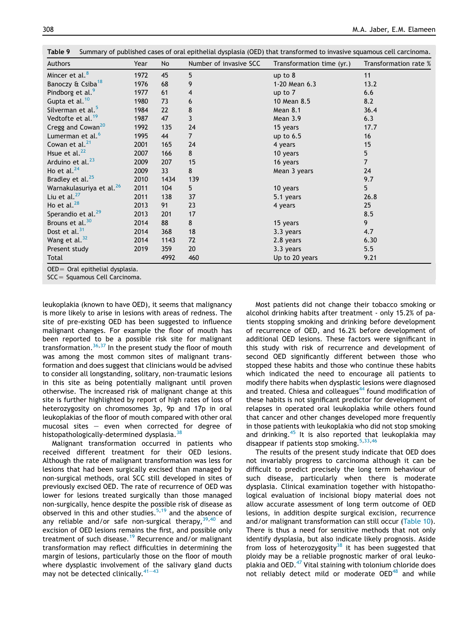| Authors                              | Year | No              | Number of invasive SCC | Transformation time (yr.) | Transformation rate % |
|--------------------------------------|------|-----------------|------------------------|---------------------------|-----------------------|
| Mincer et al. <sup>8</sup>           | 1972 | 45              | 5                      | up to $8$                 | 11                    |
| Banoczy & Csiba <sup>18</sup>        | 1976 | 68              | 9                      | 1-20 Mean 6.3             | 13.2                  |
| Pindborg et al. <sup>9</sup>         | 1977 | 61              | 4                      | up to $7$                 | 6.6                   |
| Gupta et al. <sup>10</sup>           | 1980 | 73              | 6                      | 10 Mean 8.5               | 8.2                   |
| Silverman et al. <sup>5</sup>        | 1984 | 22              | 8                      | Mean 8.1                  | 36.4                  |
| Vedtofte et al. <sup>19</sup>        | 1987 | 47              | 3                      | Mean 3.9                  | 6.3                   |
| Cregg and Cowan <sup>20</sup>        | 1992 | 135             | 24                     | 15 years                  | 17.7                  |
| Lumerman et al. <sup>6</sup>         | 1995 | 44              | $\overline{7}$         | up to $6.5$               | 16                    |
| Cowan et al. <sup>21</sup>           | 2001 | 165             | 24                     | 4 years                   | 15                    |
| Hsue et al. <sup>22</sup>            | 2007 | 166             | 8                      | 10 years                  | $5\phantom{.0}$       |
| Arduino et al. <sup>23</sup>         | 2009 | 207             | 15                     | 16 years                  | $\overline{7}$        |
| Ho et al. $^{24}$                    | 2009 | 33 <sup>2</sup> | 8                      | Mean 3 years              | 24                    |
| Bradley et al. <sup>25</sup>         | 2010 | 1434            | 139                    |                           | 9.7                   |
| Warnakulasuriya et al. <sup>26</sup> | 2011 | 104             | 5                      | 10 years                  | 5                     |
| Liu et al. $^{27}$                   | 2011 | 138             | 37                     | 5.1 years                 | 26.8                  |
| Ho et al. $^{28}$                    | 2013 | 91              | 23                     | 4 years                   | 25                    |
| Sperandio et al. <sup>29</sup>       | 2013 | 201             | 17                     |                           | 8.5                   |
| Brouns et al. <sup>30</sup>          | 2014 | 88              | 8                      | 15 years                  | 9                     |
| Dost et al. <sup>31</sup>            | 2014 | 368             | 18                     | 3.3 years                 | 4.7                   |
| Wang et al. $32$                     | 2014 | 1143            | 72                     | 2.8 years                 | 6.30                  |
| Present study                        | 2019 | 359             | 20                     | 3.3 years                 | 5.5                   |
| Total                                |      | 4992            | 460                    | Up to 20 years            | 9.21                  |

OED= Oral epithelial dysplasia.

SCC = Squamous Cell Carcinoma.

leukoplakia (known to have OED), it seems that malignancy is more likely to arise in lesions with areas of redness. The site of pre-existing OED has been suggested to influence malignant changes. For example the floor of mouth has been reported to be a possible risk site for malignant transformation.  $36,37$  In the present study the floor of mouth was among the most common sites of malignant transformation and does suggest that clinicians would be advised to consider all longstanding, solitary, non-traumatic lesions in this site as being potentially malignant until proven otherwise. The increased risk of malignant change at this site is further highlighted by report of high rates of loss of heterozygosity on chromosomes 3p, 9p and 17p in oral leukoplakias of the floor of mouth compared with other oral mucosal sites  $-$  even when corrected for degree of histopathologically-determined dysplasia.<sup>38</sup>

Malignant transformation occurred in patients who received different treatment for their OED lesions. Although the rate of malignant transformation was less for lesions that had been surgically excised than managed by non-surgical methods, oral SCC still developed in sites of previously excised OED. The rate of recurrence of OED was lower for lesions treated surgically than those managed non-surgically, hence despite the possible risk of disease as observed in this and other studies.<sup>5,19</sup> and the absence of any reliable and/or safe non-surgical therapy,  $39,40$  and excision of OED lesions remains the first, and possible only treatment of such disease.<sup>19</sup> Recurrence and/or malignant transformation may reflect difficulties in determining the margin of lesions, particularly those on the floor of mouth where dysplastic involvement of the salivary gland ducts may not be detected clinically. $41-43$ 

Most patients did not change their tobacco smoking or alcohol drinking habits after treatment - only 15.2% of patients stopping smoking and drinking before development of recurrence of OED, and 16.2% before development of additional OED lesions. These factors were significant in this study with risk of recurrence and development of second OED significantly different between those who stopped these habits and those who continue these habits which indicated the need to encourage all patients to modify there habits when dysplastic lesions were diagnosed and treated. Chiesa and colleagues<sup>44</sup> found modification of these habits is not significant predictor for development of relapses in operated oral leukoplakia while others found that cancer and other changes developed more frequently in those patients with leukoplakia who did not stop smoking and drinking. $45$  It is also reported that leukoplakia may disappear if patients stop smoking.  $5,33,46$ 

The results of the present study indicate that OED does not invariably progress to carcinoma although it can be difficult to predict precisely the long term behaviour of such disease, particularly when there is moderate dysplasia. Clinical examination together with histopathological evaluation of incisional biopy material does not allow accurate assessment of long term outcome of OED lesions, in addition despite surgical excision, recurrence and/or malignant transformation can still occur (Table 10). There is thus a need for sensitive methods that not only identify dysplasia, but also indicate likely prognosis. Aside from loss of heterozygosity<sup>38</sup> it has been suggested that ploidy may be a reliable prognostic marker of oral leukoplakia and OED.<sup>47</sup> Vital staining with tolonium chloride does not reliably detect mild or moderate OED<sup>48</sup> and while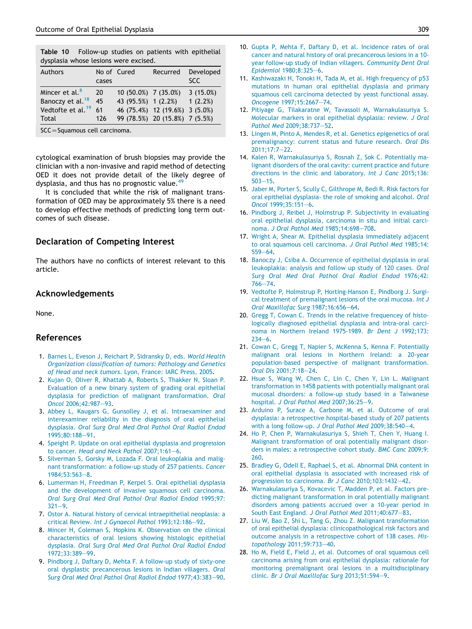|  | Table 10 Follow-up studies on patients with epithelial |  |  |  |
|--|--------------------------------------------------------|--|--|--|
|  | dysplasia whose lesions were excised.                  |  |  |  |

| <b>Authors</b>                | cases | No of Cured          | Recurred                       | Developed<br>SCC. |
|-------------------------------|-------|----------------------|--------------------------------|-------------------|
| Mincer et al. <sup>8</sup>    | 20    | 10 (50.0%) 7 (35.0%) |                                | 3(15.0%)          |
| Banoczy et al. <sup>18</sup>  | 45    | 43 (95.5%) 1 (2.2%)  |                                | 1(2.2%)           |
| Vedtofte et al. <sup>19</sup> | 61    |                      | 46 (75.4%) 12 (19.6%) 3 (5.0%) |                   |
| Total                         | 126   |                      | 99 (78.5%) 20 (15.8%) 7 (5.5%) |                   |

SCC=Squamous cell carcinoma.

cytological examination of brush biopsies may provide the clinician with a non-invasive and rapid method of detecting OED it does not provide detail of the likely degree of dysplasia, and thus has no prognostic value. $49$ 

It is concluded that while the risk of malignant transformation of OED may be approximately 5% there is a need to develop effective methods of predicting long term outcomes of such disease.

#### Declaration of Competing Interest

The authors have no conflicts of interest relevant to this article.

#### Acknowledgements

None.

#### References

- 1. Barnes L, Eveson J, Reichart P, Sidransky D, eds. World Health Organization classification of tumors: Pathology and Genetics of Head and neck tumors. Lyon, France: IARC Press, 2005.
- 2. Kujan O, Oliver R, Khattab A, Roberts S, Thakker N, Sloan P. Evaluation of a new binary system of grading oral epithelial dysplasia for prediction of malignant transformation. Oral Oncol 2006;42:987-93.
- 3. Abbey L, Kaugars G, Gunsolley J, et al. Intraexaminer and interexaminer reliability in the diagnosis of oral epithelial dysplasia. Oral Surg Oral Med Oral Pathol Oral Radiol Endod 1995;80:188-91.
- 4. Speight P. Update on oral epithelial dysplasia and progression to cancer. Head and Neck Pathol  $2007;1:61-6$ .
- 5. Silverman S, Gorsky M, Lozada F. Oral leukoplakia and malignant transformation: a follow-up study of 257 patients. Cancer 1984:53:563-8.
- 6. Lumerman H, Freedman P, Kerpel S. Oral epithelial dysplasia and the development of invasive squamous cell carcinoma. Oral Surg Oral Med Oral Pathol Oral Radiol Endod 1995;97:  $321 - 9.$
- 7. Ostor A. Natural history of cervical intraepithelial neoplasia: a critical Review. Int J Gynaecol Pathol 1993;12:186-92.
- 8. Mincer H, Coleman S, Hopkins K. Observation on the clinical characteristics of oral lesions showing histologic epithelial dysplasia. Oral Surg Oral Med Oral Pathol Oral Radiol Endod 1972;33:389-99.
- 9. Pindborg J, Daftary D, Mehta F. A follow-up study of sixty-one oral dysplastic precancerous lesions in Indian villagers. Oral Surg Oral Med Oral Pathol Oral Radiol Endod 1977;43:383-90.
- 10. Gupta P, Mehta F, Daftary D, et al. Incidence rates of oral cancer and natural history of oral precancerous lesions in a 10 year follow-up study of Indian villagers. Community Dent Oral Epidemiol 1980;8:325-6.
- 11. Kashiwazaki H, Tonoki H, Tada M, et al. High frequency of p53 mutations in human oral epithelial dysplasia and primary squamous cell carcinoma detected by yeast functional assay. Oncogene 1997;15:2667-74.
- 12. Pitiyage G, Tilakaratne W, Tavassoli M, Warnakulasuriya S. Molecular markers in oral epithelial dysplasia: review. J Oral Pathol Med 2009;38:737-52.
- 13. Lingen M, Pinto A, Mendes R, et al. Genetics epigenetics of oral premalignancy: current status and future research. Oral Dis 2011;17:7e22.
- 14. Kalen R, Warnakulasuriya S, Rosnah Z, Sok C. Potentially malignant disorders of the oral cavity: current practice and future directions in the clinic and laboratory. Int J Canc 2015;136:  $503 - 15$ .
- 15. Jaber M, Porter S, Scully C, Gilthrope M, Bedi R. Risk factors for oral epithelial dysplasia- the role of smoking and alcohol. Oral Oncol 1999;35:151-6.
- 16. Pindborg J, Reibel J, Holmstrup P. Subjectivity in evaluating oral epithelial dysplasia, carcinoma in situ and initial carcinoma. J Oral Pathol Med 1985;14:698-708.
- 17. Wright A, Shear M. Epithelial dysplasia immediately adjacent to oral squamous cell carcinoma. J Oral Pathol Med 1985;14:  $559 - 64.$
- 18. Banoczy J, Csiba A. Occurrence of epithelial dysplasia in oral leukoplakia: analysis and follow up study of 120 cases. Oral Surg Oral Med Oral Pathol Oral Radiol Endod 1976;42:  $766 - 74.$
- 19. Vedtofte P, Holmstrup P, Horting-Hanson E, Pindborg J. Surgical treatment of premalignant lesions of the oral mucosa. Int J Oral Maxillofac Surg 1987;16:656-64.
- 20. Gregg T, Cowan C. Trends in the relative frequencey of histologically diagnosed epithelial dysplasia and intra-oral carcinoma in Northern Ireland 1975-1989. Br Dent J 1992;173:  $234 - 6.$
- 21. Cowan C, Gregg T, Napier S, McKenna S, Kenna F. Potentially malignant oral lesions in Northern Ireland: a 20-year population-based perspective of malignant transformation. Oral Dis 2001;7:18-24.
- 22. Hsue S, Wang W, Chen C, Lin C, Chen Y, Lin L. Malignant transformation in 1458 patients with potentially malignant oral mucosal disorders: a follow-up study based in a Taiwanese hospital. J Oral Pathol Med 2007;36:25-9.
- 23. Arduino P, Surace A, Carbone M, et al. Outcome of oral dysplasia: a retrospective hospital-based study of 207 patients with a long follow-up. J Oral Pathol Med 2009;38:540-4.
- 24. Ho P, Chen P, Warnakulasuriya S, Shieh T, Chen Y, Huang I. Malignant transformation of oral potentially malignant disorders in males: a retrospective cohort study. BMC Canc 2009;9: 260.
- 25. Bradley G, Odell E, Raphael S, et al. Abnormal DNA content in oral epithelial dysplasia is associated with increased risk of progression to carcinoma. Br J Canc 2010;103:1432-42.
- 26. Warnakulasuriya S, Kovacevic T, Madden P, et al. Factors predicting malignant transformation in oral potentially malignant disorders among patients accrued over a 10-year period in South East England. J Oral Pathol Med 2011;40:677-83.
- 27. Liu W, Bao Z, Shi L, Tang G, Zhou Z. Malignant transformation of oral epithelial dysplasia: clinicopathological risk factors and outcome analysis in a retrospective cohort of 138 cases. Histopathology 2011;59:733-40.
- 28. Ho M, Field E, Field J, et al. Outcomes of oral squamous cell carcinoma arising from oral epithelial dysplasia: rationale for monitoring premalignant oral lesions in a multidisciplinary clinic. Br J Oral Maxillofac Surg 2013;51:594-9.